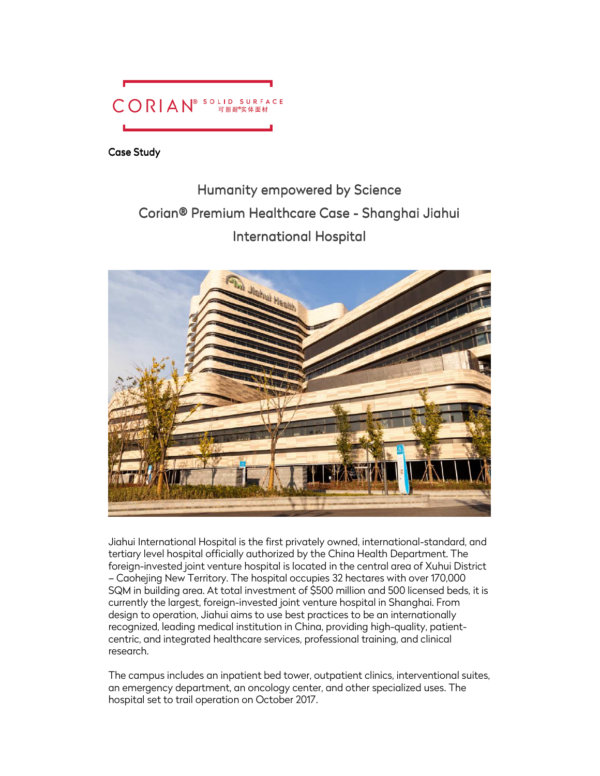

Case Study

# Humanity empowered by Science Corian® Premium Healthcare Case - Shanghai Jiahui **International Hospital**



Jiahui International Hospital is the first privately owned, international-standard, and tertiary level hospital officially authorized by the China Health Department. The foreign-invested joint venture hospital is located in the central area of Xuhui District – Caohejing New Territory. The hospital occupies 32 hectares with over 170,000 SQM in building area. At total investment of \$500 million and 500 licensed beds, it is currently the largest, foreign-invested joint venture hospital in Shanghai. From design to operation, Jiahui aims to use best practices to be an internationally recognized, leading medical institution in China, providing high-quality, patientcentric, and integrated healthcare services, professional training, and clinical research.

The campus includes an inpatient bed tower, outpatient clinics, interventional suites, an emergency department, an oncology center, and other specialized uses. The hospital set to trail operation on October 2017.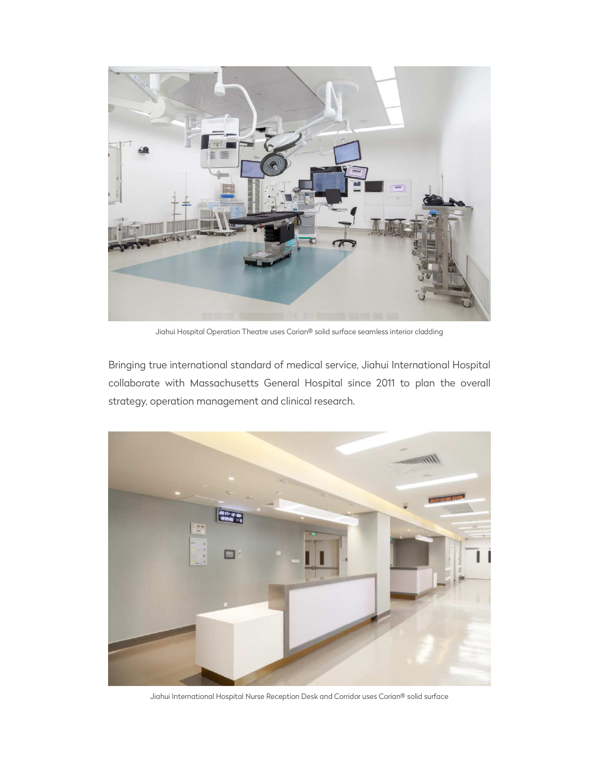

Jiahui Hospital Operation Theatre uses Corian® solid surface seamless interior cladding

Bringing true international standard of medical service, Jiahui International Hospital collaborate with Massachusetts General Hospital since 2011 to plan the overall strategy, operation management and clinical research.



Jiahui International Hospital Nurse Reception Desk and Corridor uses Corian® solid surface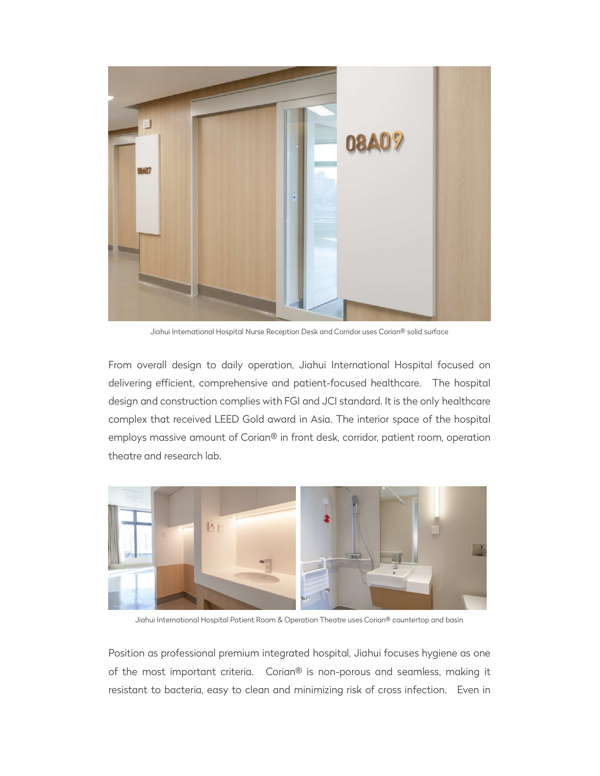

Jiahui International Hospital Nurse Reception Desk and Corridor uses Corian® solid surface

From overall design to daily operation, Jiahui International Hospital focused on delivering efficient, comprehensive and patient-focused healthcare. The hospital design and construction complies with FGI and JCI standard. It is the only healthcare complex that received LEED Gold award in Asia. The interior space of the hospital employs massive amount of Corian® in front desk, corridor, patient room, operation theatre and research lab.



Jiahui International Hospital Patient Room & Operation Theatre uses Corian® countertop and basin

Position as professional premium integrated hospital, Jiahui focuses hygiene as one of the most important criteria. Corian® is non-porous and seamless, making it resistant to bacteria, easy to clean and minimizing risk of cross infection. Even in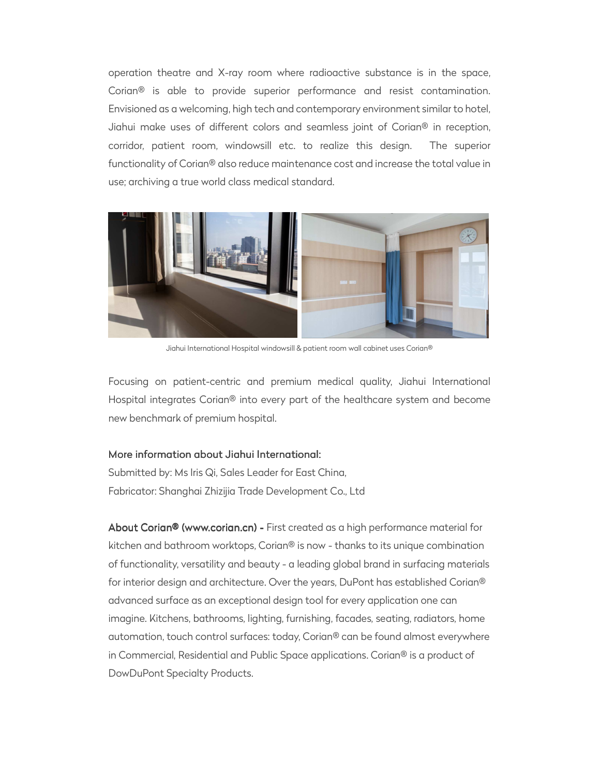operation theatre and X-ray room where radioactive substance is in the space, Corian® is able to provide superior performance and resist contamination. Envisioned as a welcoming, high tech and contemporary environment similar to hotel, Jiahui make uses of different colors and seamless joint of Corian® in reception, corridor, patient room, windowsill etc. to realize this design. The superior functionality of Corian® also reduce maintenance cost and increase the total value in use; archiving a true world class medical standard.



Jiahui International Hospital windowsill & patient room wall cabinet uses Corian®

Focusing on patient-centric and premium medical quality, Jiahui International Hospital integrates Corian® into every part of the healthcare system and become new benchmark of premium hospital.

#### More information about Jiahui International:

Submitted by: Ms Iris Qi, Sales Leader for East China, Fabricator: Shanghai Zhizijia Trade Development Co., Ltd

About Corian® (www.corian.cn) - First created as a high performance material for kitchen and bathroom worktops, Corian® is now - thanks to its unique combination of functionality, versatility and beauty - a leading global brand in surfacing materials for interior design and architecture. Over the years, DuPont has established Corian® advanced surface as an exceptional design tool for every application one can imagine. Kitchens, bathrooms, lighting, furnishing, facades, seating, radiators, home automation, touch control surfaces: today, Corian® can be found almost everywhere in Commercial, Residential and Public Space applications. Corian® is a product of DowDuPont Specialty Products.